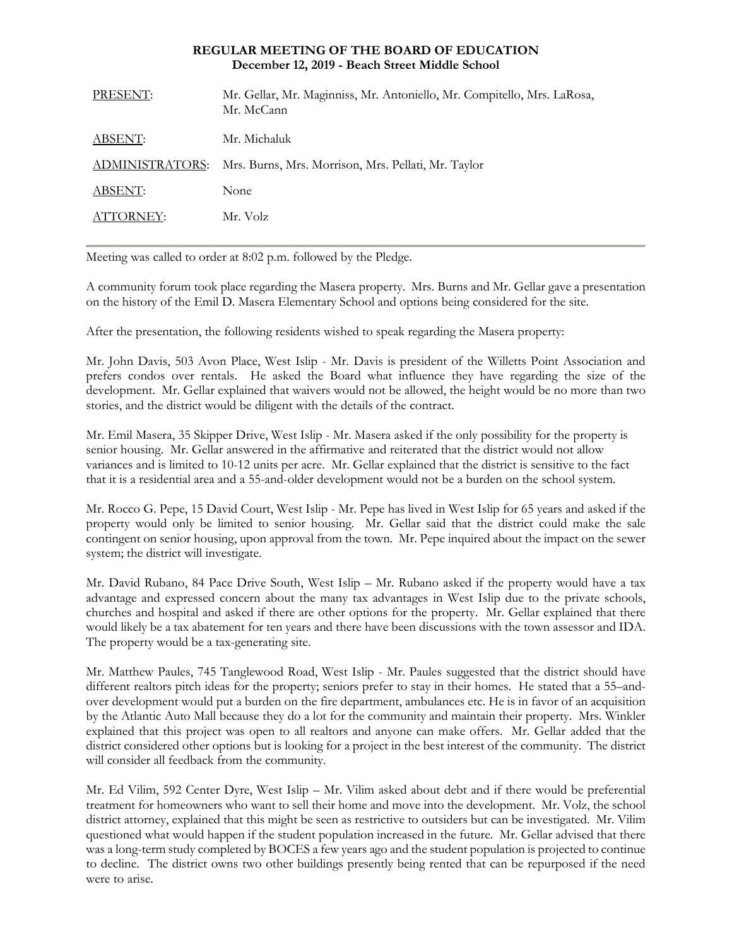## **REGULAR MEETING OF THE BOARD OF EDUCATION December 12, 2019 - Beach Street Middle School**

| PRESENT:        | Mr. Gellar, Mr. Maginniss, Mr. Antoniello, Mr. Compitello, Mrs. LaRosa,<br>Mr. McCann |
|-----------------|---------------------------------------------------------------------------------------|
| ABSENT:         | Mr. Michaluk                                                                          |
| ADMINISTRATORS: | Mrs. Burns, Mrs. Morrison, Mrs. Pellati, Mr. Taylor                                   |
| ABSENT:         | None                                                                                  |
| ATTORNEY:       | Mr. Volz                                                                              |
|                 |                                                                                       |

Meeting was called to order at 8:02 p.m. followed by the Pledge.

A community forum took place regarding the Masera property. Mrs. Burns and Mr. Gellar gave a presentation on the history of the Emil D. Masera Elementary School and options being considered for the site.

After the presentation, the following residents wished to speak regarding the Masera property:

Mr. John Davis, 503 Avon Place, West Islip - Mr. Davis is president of the Willetts Point Association and prefers condos over rentals. He asked the Board what influence they have regarding the size of the development. Mr. Gellar explained that waivers would not be allowed, the height would be no more than two stories, and the district would be diligent with the details of the contract.

Mr. Emil Masera, 35 Skipper Drive, West Islip - Mr. Masera asked if the only possibility for the property is senior housing. Mr. Gellar answered in the affirmative and reiterated that the district would not allow variances and is limited to 10-12 units per acre. Mr. Gellar explained that the district is sensitive to the fact that it is a residential area and a 55-and-older development would not be a burden on the school system.

Mr. Rocco G. Pepe, 15 David Court, West Islip - Mr. Pepe has lived in West Islip for 65 years and asked if the property would only be limited to senior housing. Mr. Gellar said that the district could make the sale contingent on senior housing, upon approval from the town. Mr. Pepe inquired about the impact on the sewer system; the district will investigate.

Mr. David Rubano, 84 Pace Drive South, West Islip – Mr. Rubano asked if the property would have a tax advantage and expressed concern about the many tax advantages in West Islip due to the private schools, churches and hospital and asked if there are other options for the property. Mr. Gellar explained that there would likely be a tax abatement for ten years and there have been discussions with the town assessor and IDA. The property would be a tax-generating site.

Mr. Matthew Paules, 745 Tanglewood Road, West Islip - Mr. Paules suggested that the district should have different realtors pitch ideas for the property; seniors prefer to stay in their homes. He stated that a 55–andover development would put a burden on the fire department, ambulances etc. He is in favor of an acquisition by the Atlantic Auto Mall because they do a lot for the community and maintain their property. Mrs. Winkler explained that this project was open to all realtors and anyone can make offers. Mr. Gellar added that the district considered other options but is looking for a project in the best interest of the community. The district will consider all feedback from the community.

Mr. Ed Vilim, 592 Center Dyre, West Islip – Mr. Vilim asked about debt and if there would be preferential treatment for homeowners who want to sell their home and move into the development. Mr. Volz, the school district attorney, explained that this might be seen as restrictive to outsiders but can be investigated. Mr. Vilim questioned what would happen if the student population increased in the future. Mr. Gellar advised that there was a long-term study completed by BOCES a few years ago and the student population is projected to continue to decline. The district owns two other buildings presently being rented that can be repurposed if the need were to arise.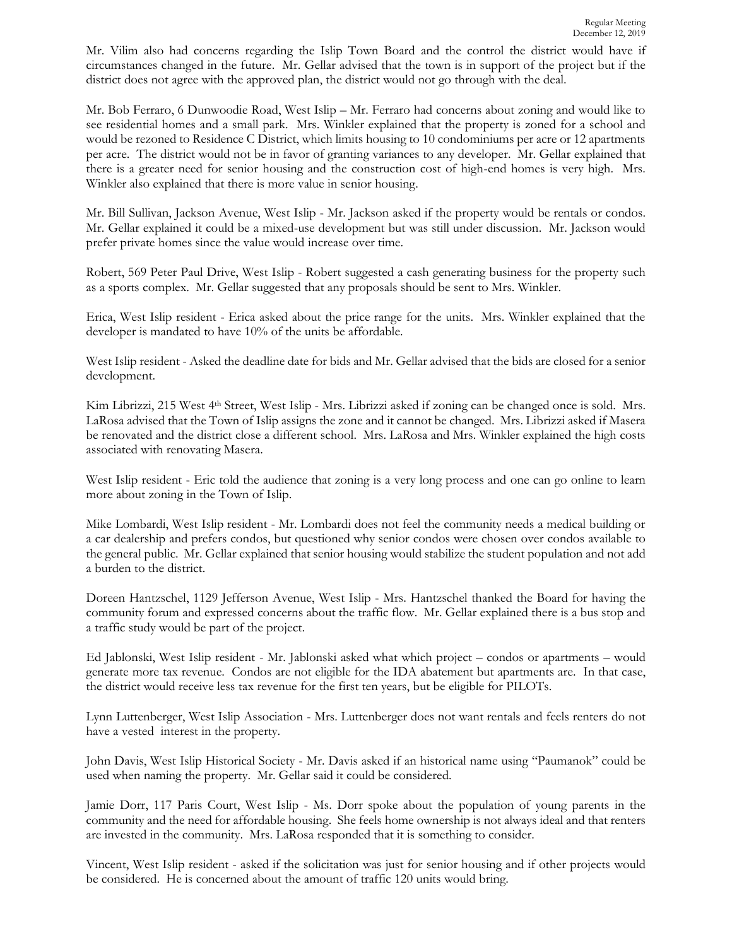Mr. Vilim also had concerns regarding the Islip Town Board and the control the district would have if circumstances changed in the future. Mr. Gellar advised that the town is in support of the project but if the district does not agree with the approved plan, the district would not go through with the deal.

Mr. Bob Ferraro, 6 Dunwoodie Road, West Islip – Mr. Ferraro had concerns about zoning and would like to see residential homes and a small park. Mrs. Winkler explained that the property is zoned for a school and would be rezoned to Residence C District, which limits housing to 10 condominiums per acre or 12 apartments per acre. The district would not be in favor of granting variances to any developer. Mr. Gellar explained that there is a greater need for senior housing and the construction cost of high-end homes is very high. Mrs. Winkler also explained that there is more value in senior housing.

Mr. Bill Sullivan, Jackson Avenue, West Islip - Mr. Jackson asked if the property would be rentals or condos. Mr. Gellar explained it could be a mixed-use development but was still under discussion. Mr. Jackson would prefer private homes since the value would increase over time.

Robert, 569 Peter Paul Drive, West Islip - Robert suggested a cash generating business for the property such as a sports complex. Mr. Gellar suggested that any proposals should be sent to Mrs. Winkler.

Erica, West Islip resident - Erica asked about the price range for the units. Mrs. Winkler explained that the developer is mandated to have 10% of the units be affordable.

West Islip resident - Asked the deadline date for bids and Mr. Gellar advised that the bids are closed for a senior development.

Kim Librizzi, 215 West 4<sup>th</sup> Street, West Islip - Mrs. Librizzi asked if zoning can be changed once is sold. Mrs. LaRosa advised that the Town of Islip assigns the zone and it cannot be changed. Mrs. Librizzi asked if Masera be renovated and the district close a different school. Mrs. LaRosa and Mrs. Winkler explained the high costs associated with renovating Masera.

West Islip resident - Eric told the audience that zoning is a very long process and one can go online to learn more about zoning in the Town of Islip.

Mike Lombardi, West Islip resident - Mr. Lombardi does not feel the community needs a medical building or a car dealership and prefers condos, but questioned why senior condos were chosen over condos available to the general public. Mr. Gellar explained that senior housing would stabilize the student population and not add a burden to the district.

Doreen Hantzschel, 1129 Jefferson Avenue, West Islip - Mrs. Hantzschel thanked the Board for having the community forum and expressed concerns about the traffic flow. Mr. Gellar explained there is a bus stop and a traffic study would be part of the project.

Ed Jablonski, West Islip resident - Mr. Jablonski asked what which project – condos or apartments – would generate more tax revenue. Condos are not eligible for the IDA abatement but apartments are. In that case, the district would receive less tax revenue for the first ten years, but be eligible for PILOTs.

Lynn Luttenberger, West Islip Association - Mrs. Luttenberger does not want rentals and feels renters do not have a vested interest in the property.

John Davis, West Islip Historical Society - Mr. Davis asked if an historical name using "Paumanok" could be used when naming the property. Mr. Gellar said it could be considered.

Jamie Dorr, 117 Paris Court, West Islip - Ms. Dorr spoke about the population of young parents in the community and the need for affordable housing. She feels home ownership is not always ideal and that renters are invested in the community. Mrs. LaRosa responded that it is something to consider.

Vincent, West Islip resident - asked if the solicitation was just for senior housing and if other projects would be considered. He is concerned about the amount of traffic 120 units would bring.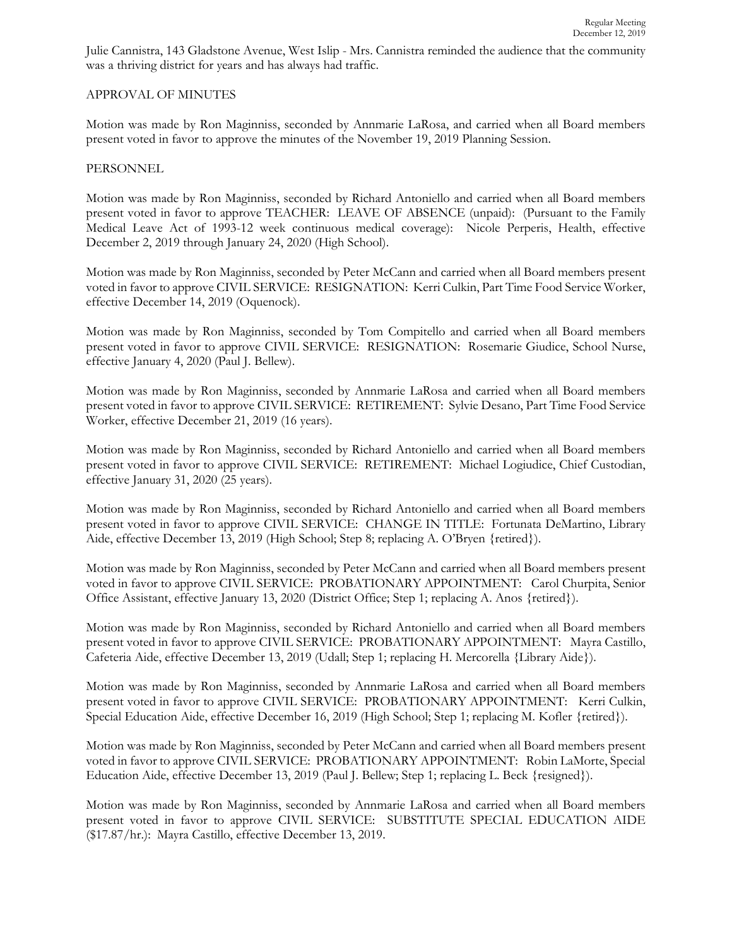Julie Cannistra, 143 Gladstone Avenue, West Islip - Mrs. Cannistra reminded the audience that the community was a thriving district for years and has always had traffic.

## APPROVAL OF MINUTES

Motion was made by Ron Maginniss, seconded by Annmarie LaRosa, and carried when all Board members present voted in favor to approve the minutes of the November 19, 2019 Planning Session.

## PERSONNEL

Motion was made by Ron Maginniss, seconded by Richard Antoniello and carried when all Board members present voted in favor to approve TEACHER:LEAVE OF ABSENCE (unpaid): (Pursuant to the Family Medical Leave Act of 1993-12 week continuous medical coverage): Nicole Perperis, Health, effective December 2, 2019 through January 24, 2020 (High School).

Motion was made by Ron Maginniss, seconded by Peter McCann and carried when all Board members present voted in favor to approve CIVIL SERVICE:RESIGNATION: Kerri Culkin, Part Time Food Service Worker, effective December 14, 2019 (Oquenock).

Motion was made by Ron Maginniss, seconded by Tom Compitello and carried when all Board members present voted in favor to approve CIVIL SERVICE:RESIGNATION: Rosemarie Giudice, School Nurse, effective January 4, 2020 (Paul J. Bellew).

Motion was made by Ron Maginniss, seconded by Annmarie LaRosa and carried when all Board members present voted in favor to approve CIVIL SERVICE:RETIREMENT:Sylvie Desano, Part Time Food Service Worker, effective December 21, 2019 (16 years).

Motion was made by Ron Maginniss, seconded by Richard Antoniello and carried when all Board members present voted in favor to approve CIVIL SERVICE:RETIREMENT:Michael Logiudice, Chief Custodian, effective January 31, 2020 (25 years).

Motion was made by Ron Maginniss, seconded by Richard Antoniello and carried when all Board members present voted in favor to approve CIVIL SERVICE:CHANGE IN TITLE: Fortunata DeMartino, Library Aide, effective December 13, 2019 (High School; Step 8; replacing A. O'Bryen {retired}).

Motion was made by Ron Maginniss, seconded by Peter McCann and carried when all Board members present voted in favor to approve CIVIL SERVICE:PROBATIONARY APPOINTMENT: Carol Churpita, Senior Office Assistant, effective January 13, 2020 (District Office; Step 1; replacing A. Anos {retired}).

Motion was made by Ron Maginniss, seconded by Richard Antoniello and carried when all Board members present voted in favor to approve CIVIL SERVICE:PROBATIONARY APPOINTMENT: Mayra Castillo, Cafeteria Aide, effective December 13, 2019 (Udall; Step 1; replacing H. Mercorella {Library Aide}).

Motion was made by Ron Maginniss, seconded by Annmarie LaRosa and carried when all Board members present voted in favor to approve CIVIL SERVICE:PROBATIONARY APPOINTMENT: Kerri Culkin, Special Education Aide, effective December 16, 2019 (High School; Step 1; replacing M. Kofler {retired}).

Motion was made by Ron Maginniss, seconded by Peter McCann and carried when all Board members present voted in favor to approve CIVIL SERVICE:PROBATIONARY APPOINTMENT: Robin LaMorte, Special Education Aide, effective December 13, 2019 (Paul J. Bellew; Step 1; replacing L. Beck {resigned}).

Motion was made by Ron Maginniss, seconded by Annmarie LaRosa and carried when all Board members present voted in favor to approve CIVIL SERVICE: SUBSTITUTE SPECIAL EDUCATION AIDE (\$17.87/hr.): Mayra Castillo, effective December 13, 2019.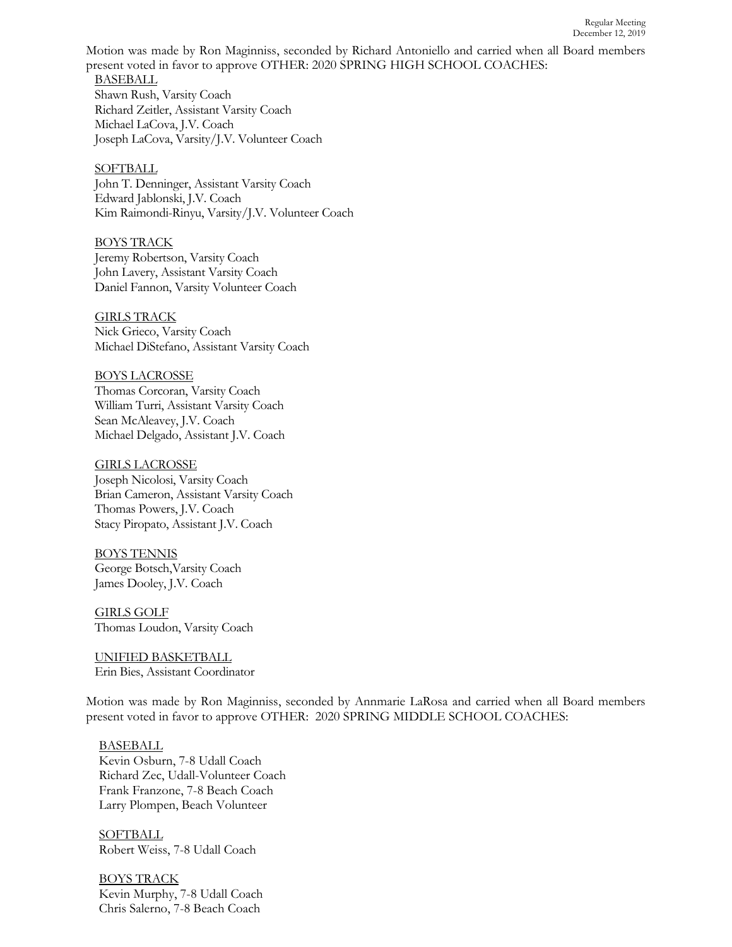Motion was made by Ron Maginniss, seconded by Richard Antoniello and carried when all Board members present voted in favor to approve OTHER: 2020 SPRING HIGH SCHOOL COACHES:

BASEBALL Shawn Rush, Varsity Coach Richard Zeitler, Assistant Varsity Coach Michael LaCova, J.V. Coach Joseph LaCova, Varsity/J.V. Volunteer Coach

**SOFTBALL** John T. Denninger, Assistant Varsity Coach Edward Jablonski, J.V. Coach Kim Raimondi-Rinyu, Varsity/J.V. Volunteer Coach

BOYS TRACK Jeremy Robertson, Varsity Coach John Lavery, Assistant Varsity Coach Daniel Fannon, Varsity Volunteer Coach

GIRLS TRACK Nick Grieco, Varsity Coach Michael DiStefano, Assistant Varsity Coach

BOYS LACROSSE Thomas Corcoran, Varsity Coach William Turri, Assistant Varsity Coach Sean McAleavey, J.V. Coach Michael Delgado, Assistant J.V. Coach

GIRLS LACROSSE Joseph Nicolosi, Varsity Coach Brian Cameron, Assistant Varsity Coach Thomas Powers, J.V. Coach Stacy Piropato, Assistant J.V. Coach

BOYS TENNIS George Botsch,Varsity Coach James Dooley, J.V. Coach

GIRLS GOLF Thomas Loudon, Varsity Coach

UNIFIED BASKETBALL Erin Bies, Assistant Coordinator

Motion was made by Ron Maginniss, seconded by Annmarie LaRosa and carried when all Board members present voted in favor to approve OTHER: 2020 SPRING MIDDLE SCHOOL COACHES:

## BASEBALL

Kevin Osburn, 7-8 Udall Coach Richard Zec, Udall-Volunteer Coach Frank Franzone, 7-8 Beach Coach Larry Plompen, Beach Volunteer

**SOFTBALL** Robert Weiss, 7-8 Udall Coach

BOYS TRACK Kevin Murphy, 7-8 Udall Coach Chris Salerno, 7-8 Beach Coach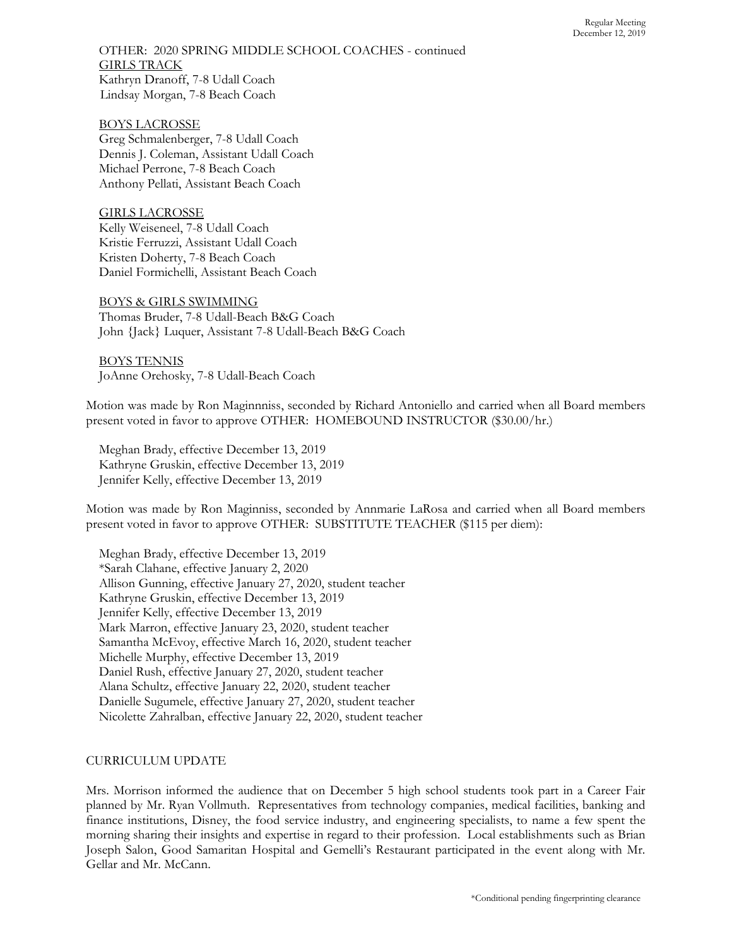OTHER: 2020 SPRING MIDDLE SCHOOL COACHES - continued GIRLS TRACK Kathryn Dranoff, 7-8 Udall Coach Lindsay Morgan, 7-8 Beach Coach

#### BOYS LACROSSE

Greg Schmalenberger, 7-8 Udall Coach Dennis J. Coleman, Assistant Udall Coach Michael Perrone, 7-8 Beach Coach Anthony Pellati, Assistant Beach Coach

GIRLS LACROSSE Kelly Weiseneel, 7-8 Udall Coach Kristie Ferruzzi, Assistant Udall Coach Kristen Doherty, 7-8 Beach Coach Daniel Formichelli, Assistant Beach Coach

## BOYS & GIRLS SWIMMING

Thomas Bruder, 7-8 Udall-Beach B&G Coach John {Jack} Luquer, Assistant 7-8 Udall-Beach B&G Coach

BOYS TENNIS JoAnne Orehosky, 7-8 Udall-Beach Coach

Motion was made by Ron Maginnniss, seconded by Richard Antoniello and carried when all Board members present voted in favor to approve OTHER: HOMEBOUND INSTRUCTOR (\$30.00/hr.)

Meghan Brady, effective December 13, 2019 Kathryne Gruskin, effective December 13, 2019 Jennifer Kelly, effective December 13, 2019

Motion was made by Ron Maginniss, seconded by Annmarie LaRosa and carried when all Board members present voted in favor to approve OTHER: SUBSTITUTE TEACHER (\$115 per diem):

Meghan Brady, effective December 13, 2019 \*Sarah Clahane, effective January 2, 2020 Allison Gunning, effective January 27, 2020, student teacher Kathryne Gruskin, effective December 13, 2019 Jennifer Kelly, effective December 13, 2019 Mark Marron, effective January 23, 2020, student teacher Samantha McEvoy, effective March 16, 2020, student teacher Michelle Murphy, effective December 13, 2019 Daniel Rush, effective January 27, 2020, student teacher Alana Schultz, effective January 22, 2020, student teacher Danielle Sugumele, effective January 27, 2020, student teacher Nicolette Zahralban, effective January 22, 2020, student teacher

#### CURRICULUM UPDATE

Mrs. Morrison informed the audience that on December 5 high school students took part in a Career Fair planned by Mr. Ryan Vollmuth. Representatives from technology companies, medical facilities, banking and finance institutions, Disney, the food service industry, and engineering specialists, to name a few spent the morning sharing their insights and expertise in regard to their profession. Local establishments such as Brian Joseph Salon, Good Samaritan Hospital and Gemelli's Restaurant participated in the event along with Mr. Gellar and Mr. McCann.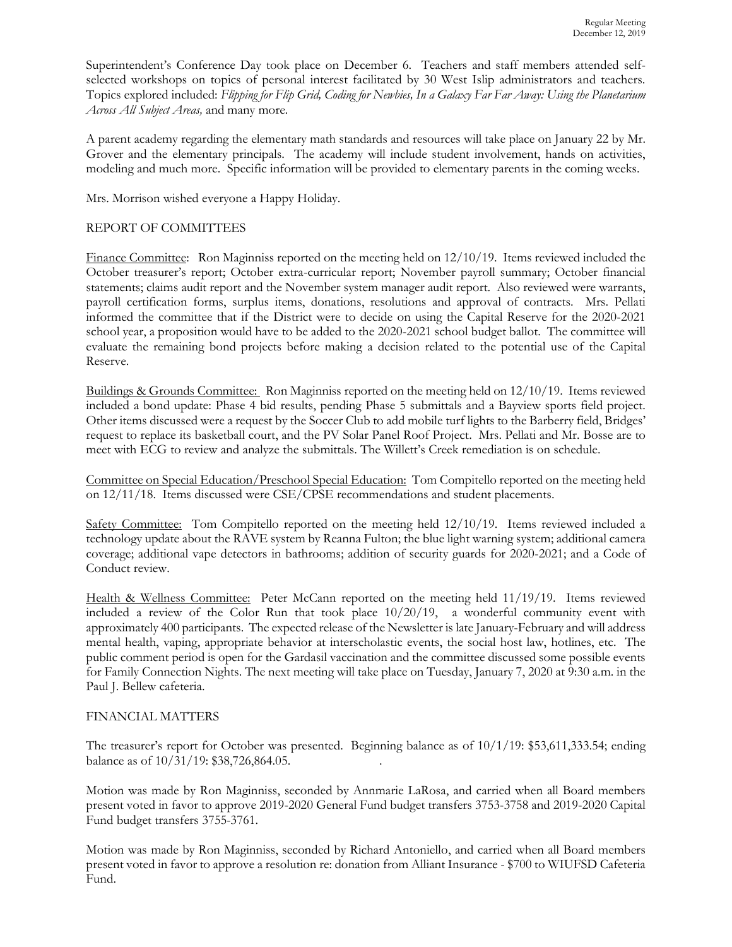Superintendent's Conference Day took place on December 6. Teachers and staff members attended selfselected workshops on topics of personal interest facilitated by 30 West Islip administrators and teachers. Topics explored included: *Flipping for Flip Grid, Coding for Newbies, In a Galaxy Far Far Away: Using the Planetarium Across All Subject Areas,* and many more*.*

A parent academy regarding the elementary math standards and resources will take place on January 22 by Mr. Grover and the elementary principals. The academy will include student involvement, hands on activities, modeling and much more. Specific information will be provided to elementary parents in the coming weeks.

Mrs. Morrison wished everyone a Happy Holiday.

## REPORT OF COMMITTEES

Finance Committee: Ron Maginniss reported on the meeting held on 12/10/19. Items reviewed included the October treasurer's report; October extra-curricular report; November payroll summary; October financial statements; claims audit report and the November system manager audit report. Also reviewed were warrants, payroll certification forms, surplus items, donations, resolutions and approval of contracts. Mrs. Pellati informed the committee that if the District were to decide on using the Capital Reserve for the 2020-2021 school year, a proposition would have to be added to the 2020-2021 school budget ballot. The committee will evaluate the remaining bond projects before making a decision related to the potential use of the Capital Reserve.

Buildings & Grounds Committee: Ron Maginniss reported on the meeting held on 12/10/19. Items reviewed included a bond update: Phase 4 bid results, pending Phase 5 submittals and a Bayview sports field project. Other items discussed were a request by the Soccer Club to add mobile turf lights to the Barberry field, Bridges' request to replace its basketball court, and the PV Solar Panel Roof Project. Mrs. Pellati and Mr. Bosse are to meet with ECG to review and analyze the submittals. The Willett's Creek remediation is on schedule.

Committee on Special Education/Preschool Special Education: Tom Compitello reported on the meeting held on 12/11/18. Items discussed were CSE/CPSE recommendations and student placements.

Safety Committee: Tom Compitello reported on the meeting held 12/10/19. Items reviewed included a technology update about the RAVE system by Reanna Fulton; the blue light warning system; additional camera coverage; additional vape detectors in bathrooms; addition of security guards for 2020-2021; and a Code of Conduct review.

Health & Wellness Committee: Peter McCann reported on the meeting held 11/19/19. Items reviewed included a review of the Color Run that took place 10/20/19, a wonderful community event with approximately 400 participants. The expected release of the Newsletter is late January-February and will address mental health, vaping, appropriate behavior at interscholastic events, the social host law, hotlines, etc. The public comment period is open for the Gardasil vaccination and the committee discussed some possible events for Family Connection Nights. The next meeting will take place on Tuesday, January 7, 2020 at 9:30 a.m. in the Paul J. Bellew cafeteria.

## FINANCIAL MATTERS

The treasurer's report for October was presented. Beginning balance as of 10/1/19: \$53,611,333.54; ending balance as of 10/31/19: \$38,726,864.05. .

Motion was made by Ron Maginniss, seconded by Annmarie LaRosa, and carried when all Board members present voted in favor to approve 2019-2020 General Fund budget transfers 3753-3758 and 2019-2020 Capital Fund budget transfers 3755-3761.

Motion was made by Ron Maginniss, seconded by Richard Antoniello, and carried when all Board members present voted in favor to approve a resolution re: donation from Alliant Insurance - \$700 to WIUFSD Cafeteria Fund.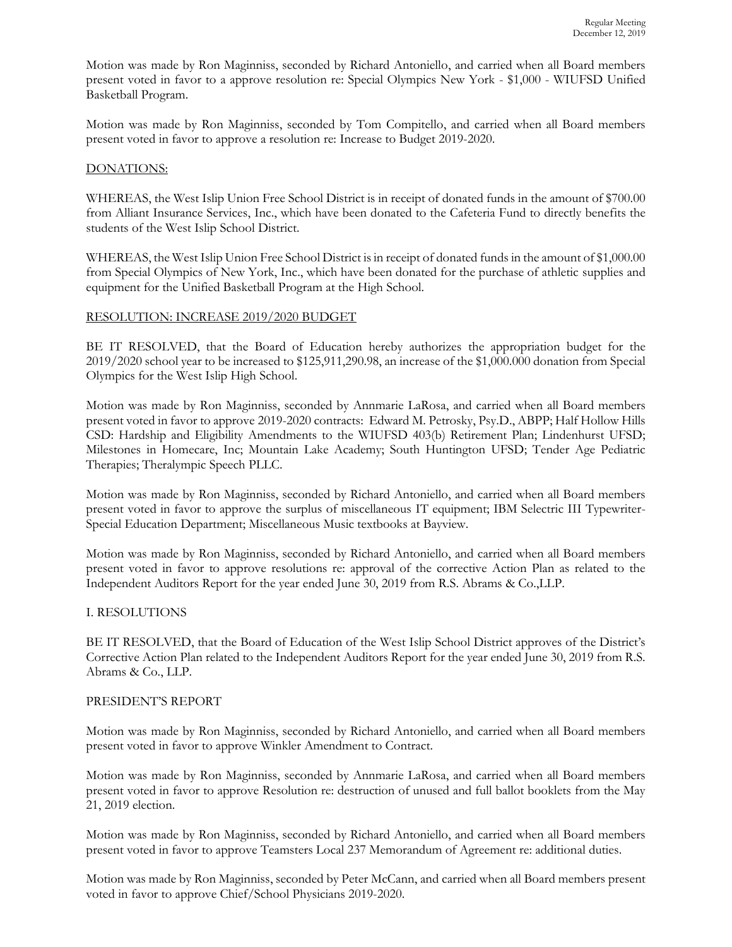Motion was made by Ron Maginniss, seconded by Richard Antoniello, and carried when all Board members present voted in favor to a approve resolution re: Special Olympics New York - \$1,000 - WIUFSD Unified Basketball Program.

Motion was made by Ron Maginniss, seconded by Tom Compitello, and carried when all Board members present voted in favor to approve a resolution re: Increase to Budget 2019-2020.

## DONATIONS:

WHEREAS, the West Islip Union Free School District is in receipt of donated funds in the amount of \$700.00 from Alliant Insurance Services, Inc., which have been donated to the Cafeteria Fund to directly benefits the students of the West Islip School District.

WHEREAS, the West Islip Union Free School District is in receipt of donated funds in the amount of \$1,000.00 from Special Olympics of New York, Inc., which have been donated for the purchase of athletic supplies and equipment for the Unified Basketball Program at the High School.

## RESOLUTION: INCREASE 2019/2020 BUDGET

BE IT RESOLVED, that the Board of Education hereby authorizes the appropriation budget for the 2019/2020 school year to be increased to \$125,911,290.98, an increase of the \$1,000.000 donation from Special Olympics for the West Islip High School.

Motion was made by Ron Maginniss, seconded by Annmarie LaRosa, and carried when all Board members present voted in favor to approve 2019-2020 contracts: Edward M. Petrosky, Psy.D., ABPP; Half Hollow Hills CSD: Hardship and Eligibility Amendments to the WIUFSD 403(b) Retirement Plan; Lindenhurst UFSD; Milestones in Homecare, Inc; Mountain Lake Academy; South Huntington UFSD; Tender Age Pediatric Therapies; Theralympic Speech PLLC.

Motion was made by Ron Maginniss, seconded by Richard Antoniello, and carried when all Board members present voted in favor to approve the surplus of miscellaneous IT equipment; IBM Selectric III Typewriter-Special Education Department; Miscellaneous Music textbooks at Bayview.

Motion was made by Ron Maginniss, seconded by Richard Antoniello, and carried when all Board members present voted in favor to approve resolutions re: approval of the corrective Action Plan as related to the Independent Auditors Report for the year ended June 30, 2019 from R.S. Abrams & Co.,LLP.

# I. RESOLUTIONS

BE IT RESOLVED, that the Board of Education of the West Islip School District approves of the District's Corrective Action Plan related to the Independent Auditors Report for the year ended June 30, 2019 from R.S. Abrams & Co., LLP.

## PRESIDENT'S REPORT

Motion was made by Ron Maginniss, seconded by Richard Antoniello, and carried when all Board members present voted in favor to approve Winkler Amendment to Contract.

Motion was made by Ron Maginniss, seconded by Annmarie LaRosa, and carried when all Board members present voted in favor to approve Resolution re: destruction of unused and full ballot booklets from the May 21, 2019 election.

Motion was made by Ron Maginniss, seconded by Richard Antoniello, and carried when all Board members present voted in favor to approve Teamsters Local 237 Memorandum of Agreement re: additional duties.

Motion was made by Ron Maginniss, seconded by Peter McCann, and carried when all Board members present voted in favor to approve Chief/School Physicians 2019-2020.